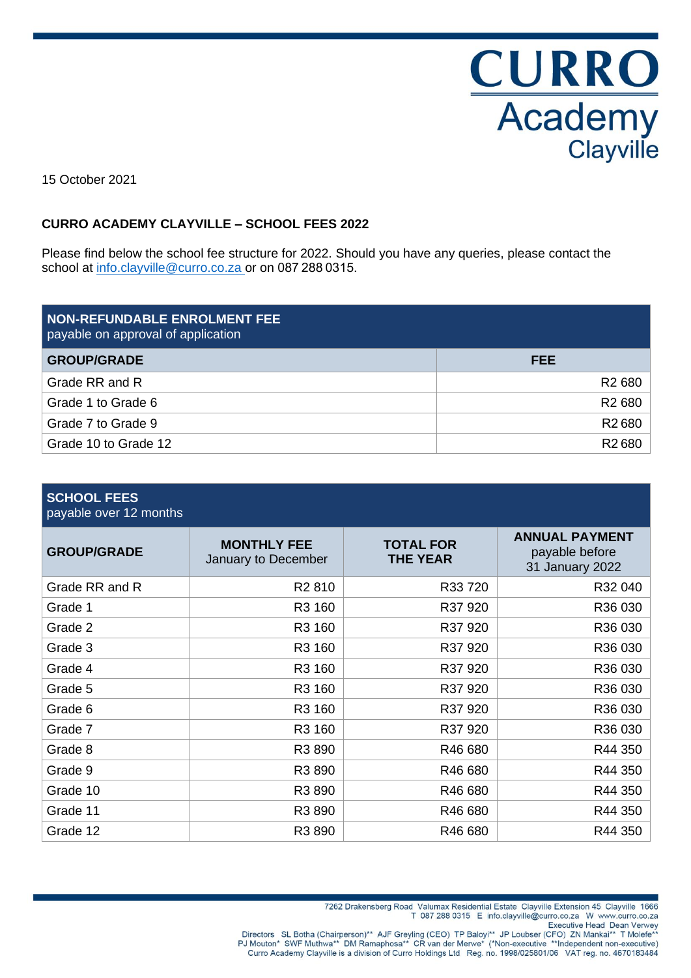**CURRO**<br>Academy<br>Clayville

15 October 2021

## **CURRO ACADEMY CLAYVILLE – SCHOOL FEES 2022**

Please find below the school fee structure for 2022. Should you have any queries, please contact the school at [info.clayville@curro.co.za](mailto:info.clayville@curro.co.za) or on 087 288 0315.

| <b>NON-REFUNDABLE ENROLMENT FEE</b><br>payable on approval of application |                    |
|---------------------------------------------------------------------------|--------------------|
| <b>GROUP/GRADE</b>                                                        | FEE                |
| Grade RR and R                                                            | R <sub>2</sub> 680 |
| Grade 1 to Grade 6                                                        | R <sub>2</sub> 680 |
| Grade 7 to Grade 9                                                        | R <sub>2</sub> 680 |
| Grade 10 to Grade 12                                                      | R <sub>2</sub> 680 |

| <b>SCHOOL FEES</b> |  |
|--------------------|--|
|                    |  |

payable over 12 months

| <b>GROUP/GRADE</b> | <b>MONTHLY FEE</b><br>January to December | <b>TOTAL FOR</b><br><b>THE YEAR</b> | <b>ANNUAL PAYMENT</b><br>payable before<br>31 January 2022 |
|--------------------|-------------------------------------------|-------------------------------------|------------------------------------------------------------|
| Grade RR and R     | R <sub>2</sub> 810                        | R33 720                             | R32 040                                                    |
| Grade 1            | R3 160                                    | R37 920                             | R36 030                                                    |
| Grade 2            | R3 160                                    | R37 920                             | R36 030                                                    |
| Grade 3            | R3 160                                    | R37 920                             | R36 030                                                    |
| Grade 4            | R3 160                                    | R37 920                             | R36 030                                                    |
| Grade 5            | R3 160                                    | R37 920                             | R36 030                                                    |
| Grade 6            | R3 160                                    | R37 920                             | R36 030                                                    |
| Grade 7            | R3 160                                    | R37 920                             | R36 030                                                    |
| Grade 8            | R3 890                                    | R46 680                             | R44 350                                                    |
| Grade 9            | R3 890                                    | R46 680                             | R44 350                                                    |
| Grade 10           | R3 890                                    | R46 680                             | R44 350                                                    |
| Grade 11           | R3 890                                    | R46 680                             | R44 350                                                    |
| Grade 12           | R3 890                                    | R46 680                             | R44 350                                                    |

T 087 288 0315 E info.clayville@curro.co.za W www.curro.co.za

Directors SL Botha (Chairperson)\*\* AJF Greyling (CEO) TP Baloyi\*\* JP Loubser (CFO) ZN Mankai\*\* T Molefe\*\*<br>PJ Mouton\* SWF Muthwa\*\* DM Ramaphosa\*\* CR van der Merwe\* (\*Non-executive \*\*Independent non-executive)<br>Curro Academy

<sup>7262</sup> Drakensberg Road Valumax Residential Estate Clayville Extension 45 Clayville 1666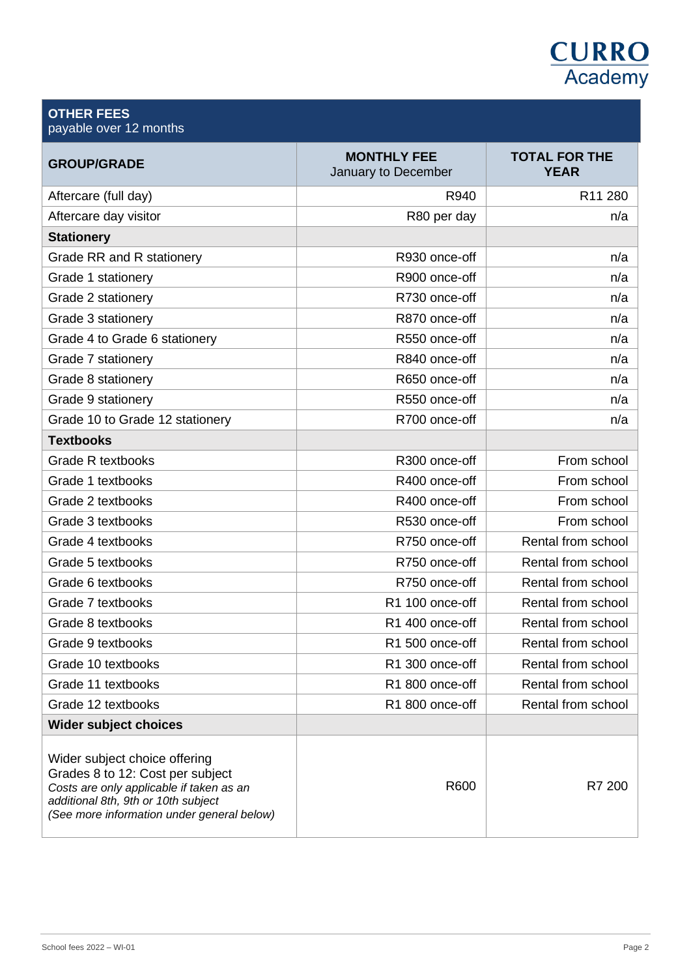# **CURRO**<br>Academy

#### **OTHER FEES** payable over 12 months

| <b>GROUP/GRADE</b>                                                                                                                                                                                 | <b>MONTHLY FEE</b><br>January to December | <b>TOTAL FOR THE</b><br><b>YEAR</b> |
|----------------------------------------------------------------------------------------------------------------------------------------------------------------------------------------------------|-------------------------------------------|-------------------------------------|
| Aftercare (full day)                                                                                                                                                                               | R940                                      | R11 280                             |
| Aftercare day visitor                                                                                                                                                                              | R80 per day                               | n/a                                 |
| <b>Stationery</b>                                                                                                                                                                                  |                                           |                                     |
| <b>Grade RR and R stationery</b>                                                                                                                                                                   | R930 once-off                             | n/a                                 |
| Grade 1 stationery                                                                                                                                                                                 | R900 once-off                             | n/a                                 |
| Grade 2 stationery                                                                                                                                                                                 | R730 once-off                             | n/a                                 |
| Grade 3 stationery                                                                                                                                                                                 | R870 once-off                             | n/a                                 |
| Grade 4 to Grade 6 stationery                                                                                                                                                                      | R550 once-off                             | n/a                                 |
| Grade 7 stationery                                                                                                                                                                                 | R840 once-off                             | n/a                                 |
| Grade 8 stationery                                                                                                                                                                                 | R650 once-off                             | n/a                                 |
| Grade 9 stationery                                                                                                                                                                                 | R550 once-off                             | n/a                                 |
| Grade 10 to Grade 12 stationery                                                                                                                                                                    | R700 once-off                             | n/a                                 |
| <b>Textbooks</b>                                                                                                                                                                                   |                                           |                                     |
| <b>Grade R textbooks</b>                                                                                                                                                                           | R300 once-off                             | From school                         |
| Grade 1 textbooks                                                                                                                                                                                  | R400 once-off                             | From school                         |
| Grade 2 textbooks                                                                                                                                                                                  | R400 once-off                             | From school                         |
| Grade 3 textbooks                                                                                                                                                                                  | R530 once-off                             | From school                         |
| Grade 4 textbooks                                                                                                                                                                                  | R750 once-off                             | Rental from school                  |
| Grade 5 textbooks                                                                                                                                                                                  | R750 once-off                             | Rental from school                  |
| Grade 6 textbooks                                                                                                                                                                                  | R750 once-off                             | Rental from school                  |
| Grade 7 textbooks                                                                                                                                                                                  | R1 100 once-off                           | Rental from school                  |
| Grade 8 textbooks                                                                                                                                                                                  | R1 400 once-off                           | Rental from school                  |
| Grade 9 textbooks                                                                                                                                                                                  | R1 500 once-off                           | Rental from school                  |
| Grade 10 textbooks                                                                                                                                                                                 | R1 300 once-off                           | Rental from school                  |
| Grade 11 textbooks                                                                                                                                                                                 | R1 800 once-off                           | Rental from school                  |
| Grade 12 textbooks                                                                                                                                                                                 | R1 800 once-off                           | Rental from school                  |
| <b>Wider subject choices</b>                                                                                                                                                                       |                                           |                                     |
| Wider subject choice offering<br>Grades 8 to 12: Cost per subject<br>Costs are only applicable if taken as an<br>additional 8th, 9th or 10th subject<br>(See more information under general below) | R600                                      | R7 200                              |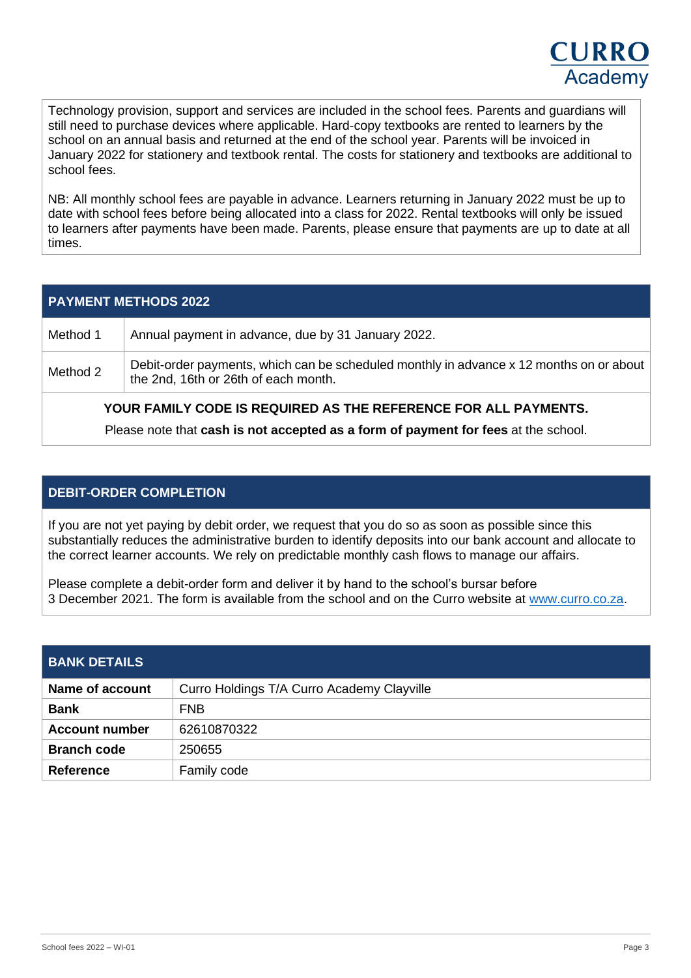Technology provision, support and services are included in the school fees. Parents and guardians will still need to purchase devices where applicable. Hard-copy textbooks are rented to learners by the school on an annual basis and returned at the end of the school year. Parents will be invoiced in January 2022 for stationery and textbook rental. The costs for stationery and textbooks are additional to school fees.

NB: All monthly school fees are payable in advance. Learners returning in January 2022 must be up to date with school fees before being allocated into a class for 2022. Rental textbooks will only be issued to learners after payments have been made. Parents, please ensure that payments are up to date at all times.

|          | <b>PAYMENT METHODS 2022</b>                                                                                                     |
|----------|---------------------------------------------------------------------------------------------------------------------------------|
| Method 1 | Annual payment in advance, due by 31 January 2022.                                                                              |
| Method 2 | Debit-order payments, which can be scheduled monthly in advance x 12 months on or about<br>the 2nd, 16th or 26th of each month. |
|          | YOUR FAMILY CODE IS REQUIRED AS THE REFERENCE FOR ALL PAYMENTS.                                                                 |
|          | Please note that cash is not accepted as a form of payment for fees at the school.                                              |

## **DEBIT-ORDER COMPLETION**

If you are not yet paying by debit order, we request that you do so as soon as possible since this substantially reduces the administrative burden to identify deposits into our bank account and allocate to the correct learner accounts. We rely on predictable monthly cash flows to manage our affairs.

Please complete a debit-order form and deliver it by hand to the school's bursar before 3 December 2021. The form is available from the school and on the Curro website at [www.curro.co.za.](http://www.curro.co.za/)

| <b>BANK DETAILS</b>    |                                            |
|------------------------|--------------------------------------------|
| <b>Name of account</b> | Curro Holdings T/A Curro Academy Clayville |
| <b>Bank</b>            | <b>FNB</b>                                 |
| <b>Account number</b>  | 62610870322                                |
| <b>Branch code</b>     | 250655                                     |
| <b>Reference</b>       | Family code                                |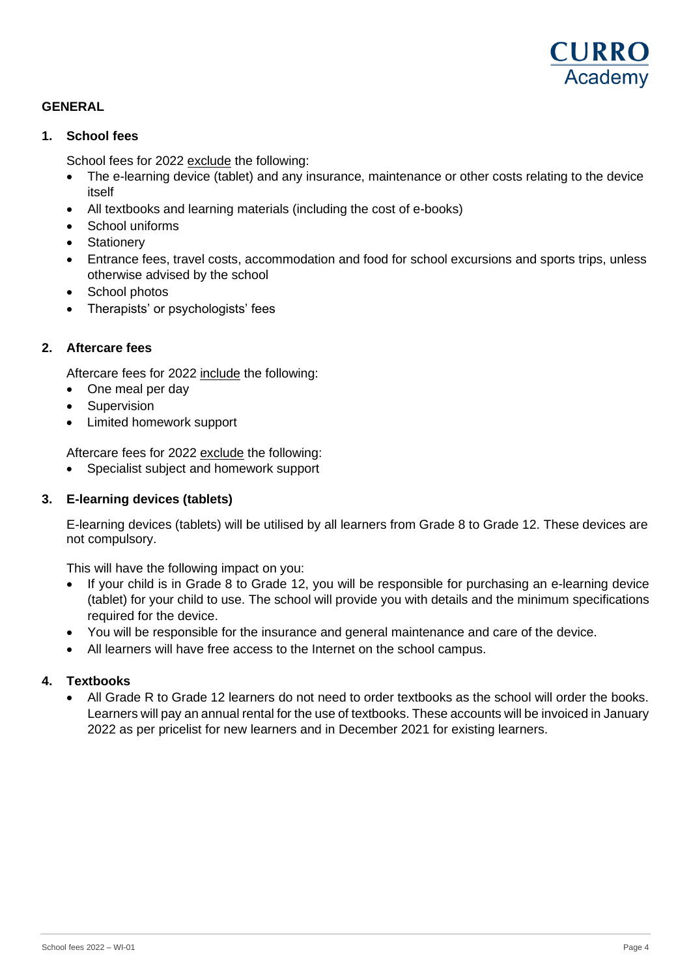

### **GENERAL**

#### **1. School fees**

School fees for 2022 exclude the following:

- The e-learning device (tablet) and any insurance, maintenance or other costs relating to the device itself
- All textbooks and learning materials (including the cost of e-books)
- School uniforms
- Stationery
- Entrance fees, travel costs, accommodation and food for school excursions and sports trips, unless otherwise advised by the school
- School photos
- Therapists' or psychologists' fees

#### **2. Aftercare fees**

Aftercare fees for 2022 include the following:

- One meal per day
- Supervision
- Limited homework support

Aftercare fees for 2022 exclude the following:

• Specialist subject and homework support

#### **3. E-learning devices (tablets)**

E-learning devices (tablets) will be utilised by all learners from Grade 8 to Grade 12. These devices are not compulsory.

This will have the following impact on you:

- If your child is in Grade 8 to Grade 12, you will be responsible for purchasing an e-learning device (tablet) for your child to use. The school will provide you with details and the minimum specifications required for the device.
- You will be responsible for the insurance and general maintenance and care of the device.
- All learners will have free access to the Internet on the school campus.

#### **4. Textbooks**

• All Grade R to Grade 12 learners do not need to order textbooks as the school will order the books. Learners will pay an annual rental for the use of textbooks. These accounts will be invoiced in January 2022 as per pricelist for new learners and in December 2021 for existing learners.